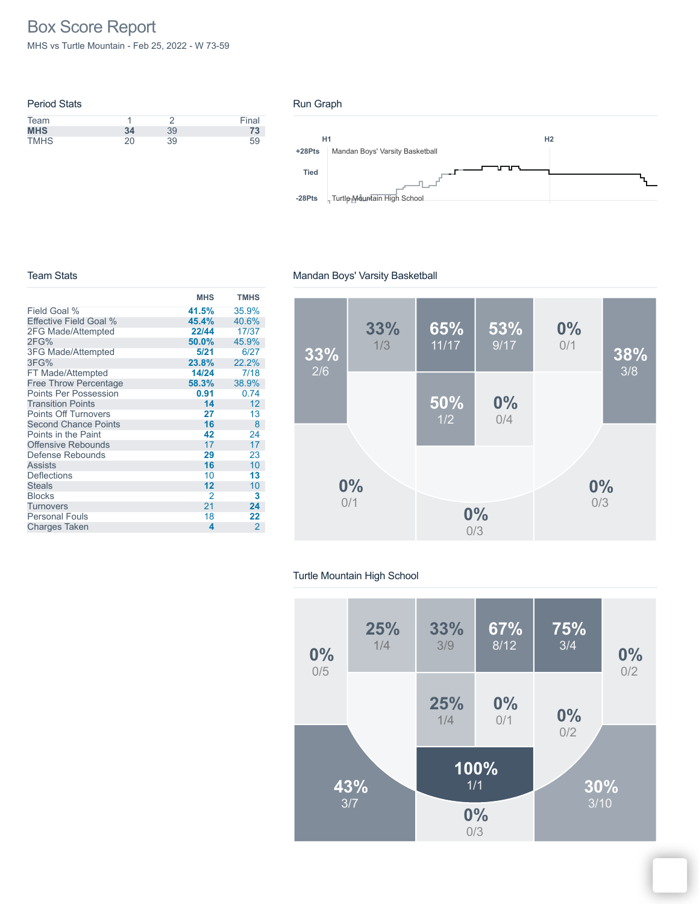# Box Score Report

MHS vs Turtle Mountain - Feb 25, 2022 - W 73-59

| <b>Period Stats</b> |     |    |       |
|---------------------|-----|----|-------|
| Team                |     |    | Final |
| <b>MHS</b>          | 34  | 39 | 73    |
| <b>TMHS</b>         | 20. | 39 | 59    |

#### Run Graph



#### Team Stats

|                              | <b>MHS</b> | <b>TMHS</b>    |
|------------------------------|------------|----------------|
| Field Goal %                 | 41.5%      | 35.9%          |
| Effective Field Goal %       | 45.4%      | 40.6%          |
| 2FG Made/Attempted           | 22/44      | 17/37          |
| 2FG%                         | 50.0%      | 45.9%          |
| 3FG Made/Attempted           | 5/21       | 6/27           |
| 3FG%                         | 23.8%      | 22.2%          |
| FT Made/Attempted            | 14/24      | 7/18           |
| <b>Free Throw Percentage</b> | 58.3%      | 38.9%          |
| <b>Points Per Possession</b> | 0.91       | 0.74           |
| <b>Transition Points</b>     | 14         | 12             |
| <b>Points Off Turnovers</b>  | 27         | 13             |
| <b>Second Chance Points</b>  | 16         | 8              |
| Points in the Paint          | 42         | 24             |
| <b>Offensive Rebounds</b>    | 17         | 17             |
| Defense Rebounds             | 29         | 23             |
| <b>Assists</b>               | 16         | 10             |
| <b>Deflections</b>           | 10         | 13             |
| <b>Steals</b>                | 12         | 10             |
| <b>Blocks</b>                | 2          | 3              |
| <b>Turnovers</b>             | 21         | 24             |
| <b>Personal Fouls</b>        | 18         | 22             |
| <b>Charges Taken</b>         | 4          | $\overline{2}$ |

## Mandan Boys' Varsity Basketball



### Turtle Mountain High School